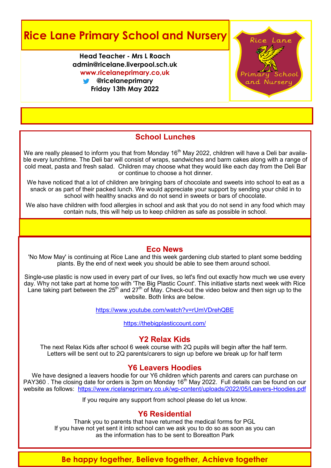## **Rice Lane Primary School and Nursery**

**Head Teacher - Mrs L Roach admin@ricelane.liverpool.sch.uk www.ricelaneprimary.co,uk**

**@ricelaneprimary Friday 13th May 2022**



#### **School Lunches**

We are really pleased to inform you that from Monday 16<sup>th</sup> May 2022, children will have a Deli bar available every lunchtime. The Deli bar will consist of wraps, sandwiches and barm cakes along with a range of cold meat, pasta and fresh salad. Children may choose what they would like each day from the Deli Bar or continue to choose a hot dinner.

We have noticed that a lot of children are bringing bars of chocolate and sweets into school to eat as a snack or as part of their packed lunch. We would appreciate your support by sending your child in to school with healthy snacks and do not send in sweets or bars of chocolate.

We also have children with food allergies in school and ask that you do not send in any food which may contain nuts, this will help us to keep children as safe as possible in school.

#### **Eco News**

'No Mow May' is continuing at Rice Lane and this week gardening club started to plant some bedding plants. By the end of next week you should be able to see them around school.

Single-use plastic is now used in every part of our lives, so let's find out exactly how much we use every day. Why not take part at home too with 'The Big Plastic Count'. This initiative starts next week with Rice Lane taking part between the  $25<sup>th</sup>$  and  $27<sup>th</sup>$  of May. Check-out the video below and then sign up to the website. Both links are below.

<https://www.youtube.com/watch?v=rUmVDrehQBE>

<https://thebigplasticcount.com/>

#### **Y2 Relax Kids**

The next Relax Kids after school 6 week course with 2Q pupils will begin after the half term. Letters will be sent out to 2Q parents/carers to sign up before we break up for half term

#### **Y6 Leavers Hoodies**

We have designed a leavers hoodie for our Y6 children which parents and carers can purchase on PAY360 . The closing date for orders is 3pm on Monday 16th May 2022. Full details can be found on our website as follows: [https://www.ricelaneprimary.co.uk/wp](https://www.ricelaneprimary.co.uk/wp-content/uploads/2022/05/Leavers-Hoodies.pdf)-content/uploads/2022/05/Leavers-Hoodies.pdf

If you require any support from school please do let us know.

#### **Y6 Residential**

Thank you to parents that have returned the medical forms for PGL If you have not yet sent it into school can we ask you to do so as soon as you can as the information has to be sent to Boreatton Park

#### **Be happy together, Believe together, Achieve together**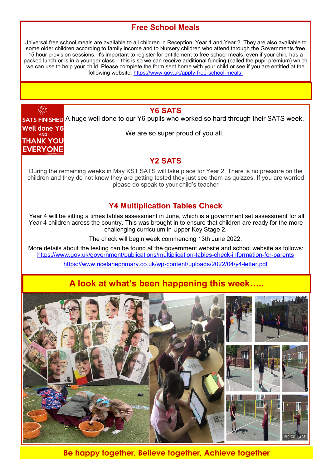#### **Free School Meals**

Universal free school meals are available to all children in Reception, Year 1 and Year 2. They are also available to some older children according to family income and to Nursery children who attend through the Governments free 15 hour provision sessions. It's important to register for entitlement to free school meals, even if your child has a packed lunch or is in a younger class – this is so we can receive additional funding (called the pupil premium) which we can use to help your child. Please complete the form sent home with your child or see if you are entitled at the following website: [https://www.gov.uk/apply](https://www.gov.uk/apply-free-school-meals)-free-school-meals

#### **Y6 SATS**

 $\circledcirc$ 

**THANK YOU EVERYONE** 

**SATS FINISHED** A huge well done to our Y6 pupils who worked so hard through their SATS week. **Well done Y6** We are so super proud of you all. **AND** 

#### **Y2 SATS**

During the remaining weeks in May KS1 SATS will take place for Year 2. There is no pressure on the children and they do not know they are getting tested they just see them as quizzes. If you are worried please do speak to your child's teacher

#### **Y4 Multiplication Tables Check**

Year 4 will be sitting a times tables assessment in June, which is a government set assessment for all Year 4 children across the country. This was brought in to ensure that children are ready for the more challenging curriculum in Upper Key Stage 2.

The check will begin week commencing 13th June 2022.

More details about the testing can be found at the government website and school website as follows: [https://www.gov.uk/government/publications/multiplication](https://www.gov.uk/government/publications/multiplication-tables-check-information-for-parents)-tables-check-information-for-parents

[https://www.ricelaneprimary.co.uk/wp](https://www.ricelaneprimary.co.uk/wp-content/uploads/2022/04/y4-letter.pdf)-content/uploads/2022/04/y4-letter.pdf

## **A look at what's been happening this week…..**



**Be happy together, Believe together, Achieve together**